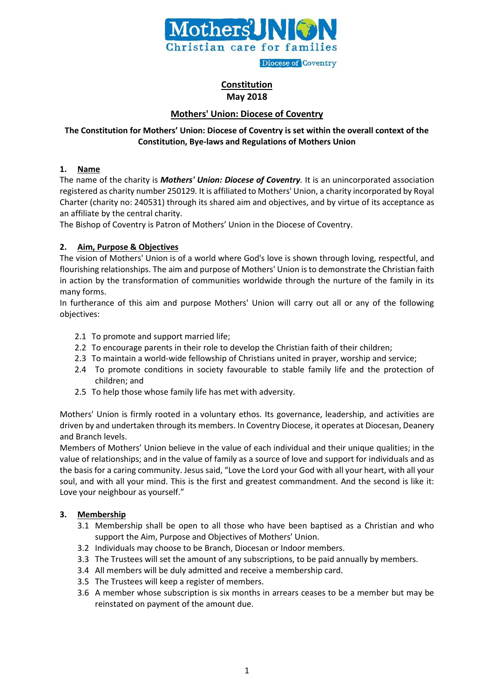

**Diocese of Coventry** 

# **Constitution May 2018**

# **Mothers' Union: Diocese of Coventry**

# **The Constitution for Mothers' Union: Diocese of Coventry is set within the overall context of the Constitution, Bye-laws and Regulations of Mothers Union**

#### **1. Name**

The name of the charity is *Mothers' Union: Diocese of Coventry.* It is an unincorporated association registered as charity number 250129*.* It is affiliated to Mothers' Union, a charity incorporated by Royal Charter (charity no: 240531) through its shared aim and objectives, and by virtue of its acceptance as an affiliate by the central charity.

The Bishop of Coventry is Patron of Mothers' Union in the Diocese of Coventry.

# **2. Aim, Purpose & Objectives**

The vision of Mothers' Union is of a world where God's love is shown through loving, respectful, and flourishing relationships. The aim and purpose of Mothers' Union is to demonstrate the Christian faith in action by the transformation of communities worldwide through the nurture of the family in its many forms.

In furtherance of this aim and purpose Mothers' Union will carry out all or any of the following objectives:

- 2.1 To promote and support married life;
- 2.2 To encourage parents in their role to develop the Christian faith of their children;
- 2.3 To maintain a world-wide fellowship of Christians united in prayer, worship and service;
- 2.4 To promote conditions in society favourable to stable family life and the protection of children; and
- 2.5 To help those whose family life has met with adversity.

Mothers' Union is firmly rooted in a voluntary ethos. Its governance, leadership, and activities are driven by and undertaken through its members. In Coventry Diocese, it operates at Diocesan, Deanery and Branch levels.

Members of Mothers' Union believe in the value of each individual and their unique qualities; in the value of relationships; and in the value of family as a source of love and support for individuals and as the basis for a caring community. Jesus said, "Love the Lord your God with all your heart, with all your soul, and with all your mind. This is the first and greatest commandment. And the second is like it: Love your neighbour as yourself."

# **3. Membership**

- 3.1 Membership shall be open to all those who have been baptised as a Christian and who support the Aim, Purpose and Objectives of Mothers' Union.
- 3.2 Individuals may choose to be Branch, Diocesan or Indoor members.
- 3.3 The Trustees will set the amount of any subscriptions, to be paid annually by members.
- 3.4 All members will be duly admitted and receive a membership card.
- 3.5 The Trustees will keep a register of members.
- 3.6 A member whose subscription is six months in arrears ceases to be a member but may be reinstated on payment of the amount due.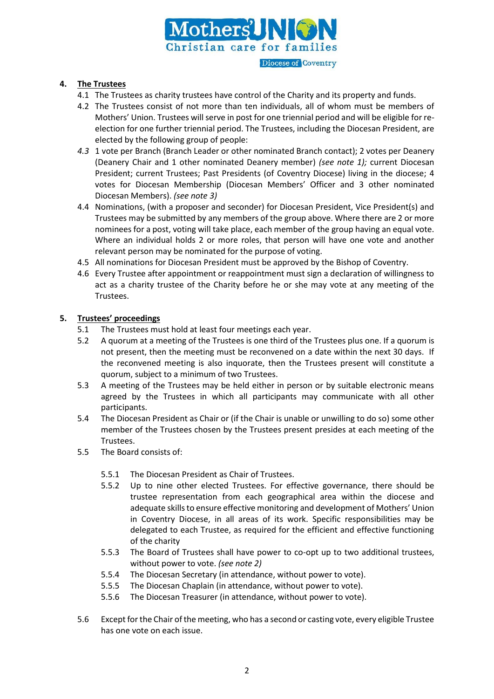

#### **4. The Trustees**

- 4.1 The Trustees as charity trustees have control of the Charity and its property and funds.
- 4.2 The Trustees consist of not more than ten individuals, all of whom must be members of Mothers' Union. Trustees will serve in post for one triennial period and will be eligible for reelection for one further triennial period. The Trustees, including the Diocesan President, are elected by the following group of people:
- *4.3* 1 vote per Branch (Branch Leader or other nominated Branch contact); 2 votes per Deanery (Deanery Chair and 1 other nominated Deanery member) *(see note 1);* current Diocesan President; current Trustees; Past Presidents (of Coventry Diocese) living in the diocese; 4 votes for Diocesan Membership (Diocesan Members' Officer and 3 other nominated Diocesan Members). *(see note 3)*
- 4.4 Nominations, (with a proposer and seconder) for Diocesan President, Vice President(s) and Trustees may be submitted by any members of the group above. Where there are 2 or more nominees for a post, voting will take place, each member of the group having an equal vote. Where an individual holds 2 or more roles, that person will have one vote and another relevant person may be nominated for the purpose of voting.
- 4.5 All nominations for Diocesan President must be approved by the Bishop of Coventry.
- 4.6 Every Trustee after appointment or reappointment must sign a declaration of willingness to act as a charity trustee of the Charity before he or she may vote at any meeting of the Trustees.

#### **5. Trustees' proceedings**

- 5.1 The Trustees must hold at least four meetings each year.
- 5.2 A quorum at a meeting of the Trustees is one third of the Trustees plus one. If a quorum is not present, then the meeting must be reconvened on a date within the next 30 days. If the reconvened meeting is also inquorate, then the Trustees present will constitute a quorum, subject to a minimum of two Trustees.
- 5.3 A meeting of the Trustees may be held either in person or by suitable electronic means agreed by the Trustees in which all participants may communicate with all other participants.
- 5.4 The Diocesan President as Chair or (if the Chair is unable or unwilling to do so) some other member of the Trustees chosen by the Trustees present presides at each meeting of the Trustees.
- 5.5 The Board consists of:
	- 5.5.1 The Diocesan President as Chair of Trustees.
	- 5.5.2 Up to nine other elected Trustees. For effective governance, there should be trustee representation from each geographical area within the diocese and adequate skills to ensure effective monitoring and development of Mothers' Union in Coventry Diocese, in all areas of its work. Specific responsibilities may be delegated to each Trustee, as required for the efficient and effective functioning of the charity
	- 5.5.3 The Board of Trustees shall have power to co-opt up to two additional trustees, without power to vote. *(see note 2)*
	- 5.5.4 The Diocesan Secretary (in attendance, without power to vote).
	- 5.5.5 The Diocesan Chaplain (in attendance, without power to vote).
	- 5.5.6 The Diocesan Treasurer (in attendance, without power to vote).
- 5.6 Except for the Chair of the meeting, who has a second or casting vote, every eligible Trustee has one vote on each issue.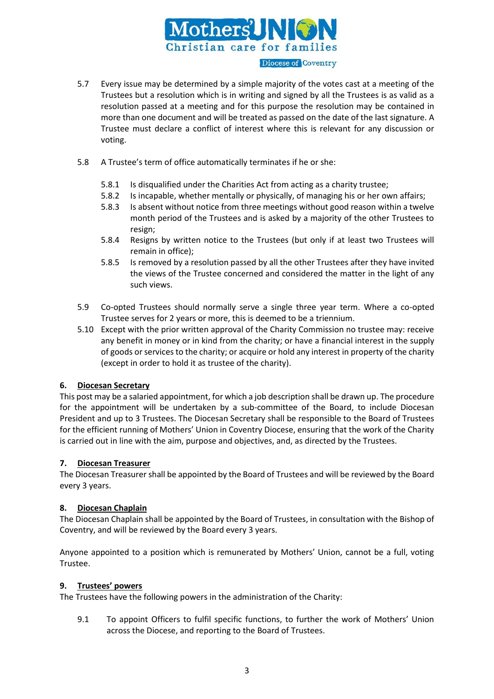

- 5.7 Every issue may be determined by a simple majority of the votes cast at a meeting of the Trustees but a resolution which is in writing and signed by all the Trustees is as valid as a resolution passed at a meeting and for this purpose the resolution may be contained in more than one document and will be treated as passed on the date of the last signature. A Trustee must declare a conflict of interest where this is relevant for any discussion or voting.
- 5.8 A Trustee's term of office automatically terminates if he or she:
	- 5.8.1 Is disqualified under the Charities Act from acting as a charity trustee;
	- 5.8.2 Is incapable, whether mentally or physically, of managing his or her own affairs;
	- 5.8.3 Is absent without notice from three meetings without good reason within a twelve month period of the Trustees and is asked by a majority of the other Trustees to resign;
	- 5.8.4 Resigns by written notice to the Trustees (but only if at least two Trustees will remain in office);
	- 5.8.5 Is removed by a resolution passed by all the other Trustees after they have invited the views of the Trustee concerned and considered the matter in the light of any such views.
- 5.9 Co-opted Trustees should normally serve a single three year term. Where a co-opted Trustee serves for 2 years or more, this is deemed to be a triennium.
- 5.10 Except with the prior written approval of the Charity Commission no trustee may: receive any benefit in money or in kind from the charity; or have a financial interest in the supply of goods or services to the charity; or acquire or hold any interest in property of the charity (except in order to hold it as trustee of the charity).

# **6. Diocesan Secretary**

This post may be a salaried appointment, for which a job description shall be drawn up. The procedure for the appointment will be undertaken by a sub-committee of the Board, to include Diocesan President and up to 3 Trustees. The Diocesan Secretary shall be responsible to the Board of Trustees for the efficient running of Mothers' Union in Coventry Diocese, ensuring that the work of the Charity is carried out in line with the aim, purpose and objectives, and, as directed by the Trustees.

# **7. Diocesan Treasurer**

The Diocesan Treasurer shall be appointed by the Board of Trustees and will be reviewed by the Board every 3 years.

# **8. Diocesan Chaplain**

The Diocesan Chaplain shall be appointed by the Board of Trustees, in consultation with the Bishop of Coventry, and will be reviewed by the Board every 3 years.

Anyone appointed to a position which is remunerated by Mothers' Union, cannot be a full, voting Trustee.

#### **9. Trustees' powers**

The Trustees have the following powers in the administration of the Charity:

9.1 To appoint Officers to fulfil specific functions, to further the work of Mothers' Union across the Diocese, and reporting to the Board of Trustees.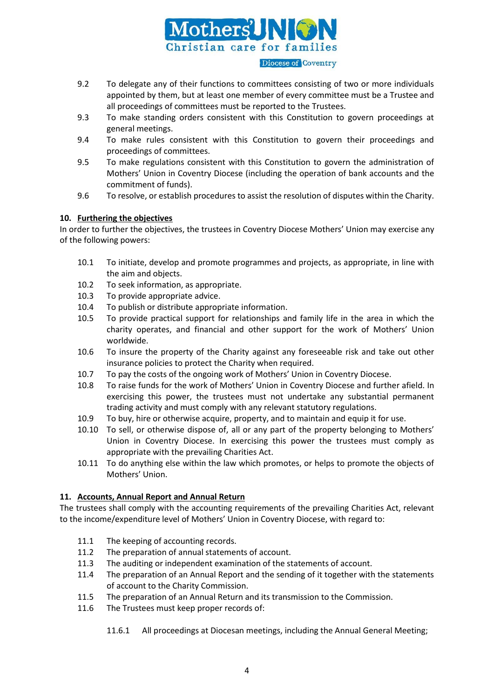

**Diocese of Coventry** 

- 9.2 To delegate any of their functions to committees consisting of two or more individuals appointed by them, but at least one member of every committee must be a Trustee and all proceedings of committees must be reported to the Trustees.
- 9.3 To make standing orders consistent with this Constitution to govern proceedings at general meetings.
- 9.4 To make rules consistent with this Constitution to govern their proceedings and proceedings of committees.
- 9.5 To make regulations consistent with this Constitution to govern the administration of Mothers' Union in Coventry Diocese (including the operation of bank accounts and the commitment of funds).
- 9.6 To resolve, or establish procedures to assist the resolution of disputes within the Charity.

#### **10. Furthering the objectives**

In order to further the objectives, the trustees in Coventry Diocese Mothers' Union may exercise any of the following powers:

- 10.1 To initiate, develop and promote programmes and projects, as appropriate, in line with the aim and objects.
- 10.2 To seek information, as appropriate.
- 10.3 To provide appropriate advice.
- 10.4 To publish or distribute appropriate information.
- 10.5 To provide practical support for relationships and family life in the area in which the charity operates, and financial and other support for the work of Mothers' Union worldwide.
- 10.6 To insure the property of the Charity against any foreseeable risk and take out other insurance policies to protect the Charity when required.
- 10.7 To pay the costs of the ongoing work of Mothers' Union in Coventry Diocese.
- 10.8 To raise funds for the work of Mothers' Union in Coventry Diocese and further afield. In exercising this power, the trustees must not undertake any substantial permanent trading activity and must comply with any relevant statutory regulations.
- 10.9 To buy, hire or otherwise acquire, property, and to maintain and equip it for use.
- 10.10 To sell, or otherwise dispose of, all or any part of the property belonging to Mothers' Union in Coventry Diocese. In exercising this power the trustees must comply as appropriate with the prevailing Charities Act.
- 10.11 To do anything else within the law which promotes, or helps to promote the objects of Mothers' Union.

#### **11. Accounts, Annual Report and Annual Return**

The trustees shall comply with the accounting requirements of the prevailing Charities Act, relevant to the income/expenditure level of Mothers' Union in Coventry Diocese, with regard to:

- 11.1 The keeping of accounting records.
- 11.2 The preparation of annual statements of account.
- 11.3 The auditing or independent examination of the statements of account.
- 11.4 The preparation of an Annual Report and the sending of it together with the statements of account to the Charity Commission.
- 11.5 The preparation of an Annual Return and its transmission to the Commission.
- 11.6 The Trustees must keep proper records of:
	- 11.6.1 All proceedings at Diocesan meetings, including the Annual General Meeting;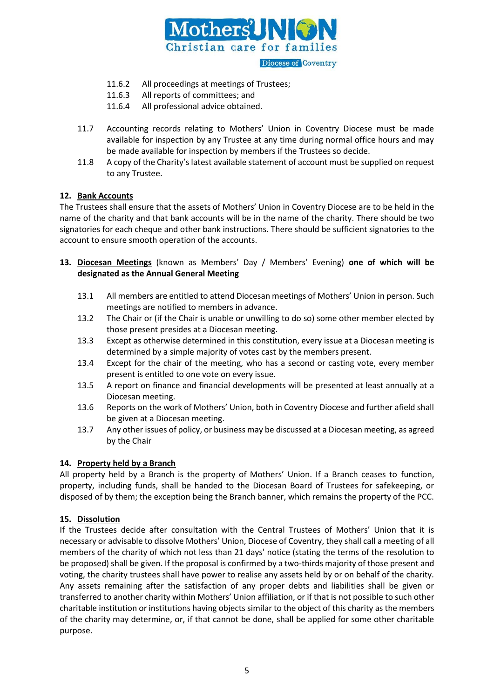

**Diocese of Coventry** 

- 11.6.2 All proceedings at meetings of Trustees;
- 11.6.3 All reports of committees; and
- 11.6.4 All professional advice obtained.
- 11.7 Accounting records relating to Mothers' Union in Coventry Diocese must be made available for inspection by any Trustee at any time during normal office hours and may be made available for inspection by members if the Trustees so decide.
- 11.8 A copy of the Charity's latest available statement of account must be supplied on request to any Trustee.

#### **12. Bank Accounts**

The Trustees shall ensure that the assets of Mothers' Union in Coventry Diocese are to be held in the name of the charity and that bank accounts will be in the name of the charity. There should be two signatories for each cheque and other bank instructions. There should be sufficient signatories to the account to ensure smooth operation of the accounts.

- **13. Diocesan Meetings** (known as Members' Day / Members' Evening) **one of which will be designated as the Annual General Meeting**
	- 13.1 All members are entitled to attend Diocesan meetings of Mothers' Union in person. Such meetings are notified to members in advance.
	- 13.2 The Chair or (if the Chair is unable or unwilling to do so) some other member elected by those present presides at a Diocesan meeting.
	- 13.3 Except as otherwise determined in this constitution, every issue at a Diocesan meeting is determined by a simple majority of votes cast by the members present.
	- 13.4 Except for the chair of the meeting, who has a second or casting vote, every member present is entitled to one vote on every issue.
	- 13.5 A report on finance and financial developments will be presented at least annually at a Diocesan meeting.
	- 13.6 Reports on the work of Mothers' Union, both in Coventry Diocese and further afield shall be given at a Diocesan meeting.
	- 13.7 Any other issues of policy, or business may be discussed at a Diocesan meeting, as agreed by the Chair

#### **14. Property held by a Branch**

All property held by a Branch is the property of Mothers' Union. If a Branch ceases to function, property, including funds, shall be handed to the Diocesan Board of Trustees for safekeeping, or disposed of by them; the exception being the Branch banner, which remains the property of the PCC.

# **15. Dissolution**

If the Trustees decide after consultation with the Central Trustees of Mothers' Union that it is necessary or advisable to dissolve Mothers' Union, Diocese of Coventry, they shall call a meeting of all members of the charity of which not less than 21 days' notice (stating the terms of the resolution to be proposed) shall be given. If the proposal is confirmed by a two-thirds majority of those present and voting, the charity trustees shall have power to realise any assets held by or on behalf of the charity. Any assets remaining after the satisfaction of any proper debts and liabilities shall be given or transferred to another charity within Mothers' Union affiliation, or if that is not possible to such other charitable institution or institutions having objects similar to the object of this charity as the members of the charity may determine, or, if that cannot be done, shall be applied for some other charitable purpose.